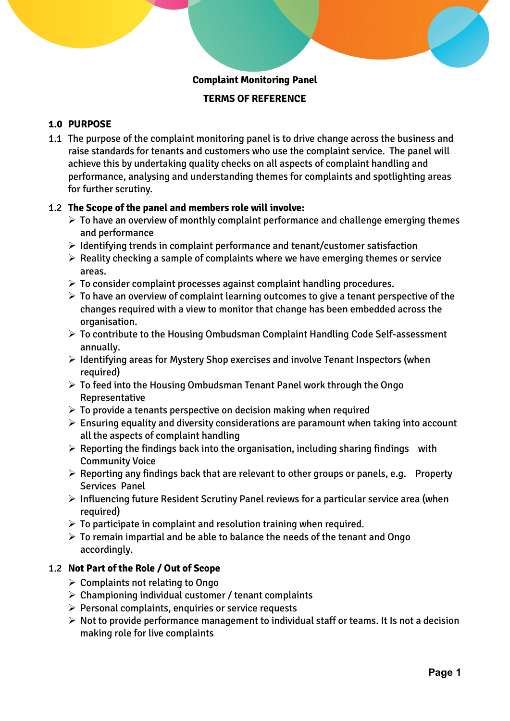## **Complaint Monitoring Panel**

## **TERMS OF REFERENCE**

# **1.0 PURPOSE**

1.1 The purpose of the complaint monitoring panel is to drive change across the business and raise standards for tenants and customers who use the complaint service. The panel will achieve this by undertaking quality checks on all aspects of complaint handling and performance, analysing and understanding themes for complaints and spotlighting areas for further scrutiny.

#### 1.2 **The Scope of the panel and members role will involve:**

- $\triangleright$  To have an overview of monthly complaint performance and challenge emerging themes and performance
- ➢ Identifying trends in complaint performance and tenant/customer satisfaction
- $\triangleright$  Reality checking a sample of complaints where we have emerging themes or service areas.
- $\triangleright$  To consider complaint processes against complaint handling procedures.
- $\triangleright$  To have an overview of complaint learning outcomes to give a tenant perspective of the changes required with a view to monitor that change has been embedded across the organisation.
- ➢ To contribute to the Housing Ombudsman Complaint Handling Code Self-assessment annually.
- ➢ Identifying areas for Mystery Shop exercises and involve Tenant Inspectors (when required)
- ➢ To feed into the Housing Ombudsman Tenant Panel work through the Ongo Representative
- $\triangleright$  To provide a tenants perspective on decision making when required
- $\triangleright$  Ensuring equality and diversity considerations are paramount when taking into account all the aspects of complaint handling
- $\triangleright$  Reporting the findings back into the organisation, including sharing findings with Community Voice
- $\triangleright$  Reporting any findings back that are relevant to other groups or panels, e.g. Property Services Panel
- ➢ Influencing future Resident Scrutiny Panel reviews for a particular service area (when required)
- $\triangleright$  To participate in complaint and resolution training when required.
- $\triangleright$  To remain impartial and be able to balance the needs of the tenant and Ongo accordingly.

#### 1.2 **Not Part of the Role / Out of Scope**

- $\triangleright$  Complaints not relating to Ongo
- $\triangleright$  Championing individual customer / tenant complaints
- ➢ Personal complaints, enquiries or service requests
- ➢ Not to provide performance management to individual staff or teams. It Is not a decision making role for live complaints